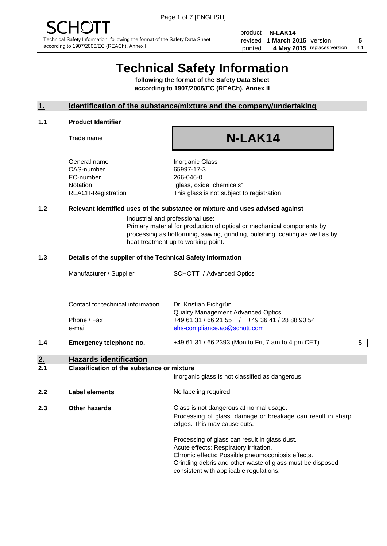product **N-LAK14** revised **5 1 March 2015** version printed 4 May 2015 replaces version 4.1

## **Technical Safety Information**

**following the format of the Safety Data Sheet according to 1907/2006/EC (REACh), Annex II**

#### **1. Identification of the substance/mixture and the company/undertaking**

#### **1.1 Product Identifier**

Trade name

# **N-LAK14**

General name **Inorganic Glass** CAS-number 65997-17-3 EC-number 266-046-0

Notation "glass, oxide, chemicals" REACH-Registration This glass is not subject to registration.

#### **1.2 Relevant identified uses of the substance or mixture and uses advised against**

Industrial and professional use: Primary material for production of optical or mechanical components by processing as hotforming, sawing, grinding, polishing, coating as well as by heat treatment up to working point.

#### **1.3 Details of the supplier of the Technical Safety Information**

| 1.4 | Emergency telephone no.           | +49 61 31 / 66 2393 (Mon to Fri, 7 am to 4 pm CET) | 5 |
|-----|-----------------------------------|----------------------------------------------------|---|
|     | e-mail                            | ehs-compliance.ao@schott.com                       |   |
|     | Phone / Fax                       | +49 61 31 / 66 21 55 / +49 36 41 / 28 88 90 54     |   |
|     |                                   | <b>Quality Management Advanced Optics</b>          |   |
|     | Contact for technical information | Dr. Kristian Eichgrün                              |   |
|     |                                   |                                                    |   |
|     | Manufacturer / Supplier           | <b>SCHOTT</b> / Advanced Optics                    |   |

#### **2. Hazards identification**

#### **2.1 Classification of the substance or mixture**

|     |                      | Inorganic glass is not classified as dangerous.                                                                                                                                                                                                      |
|-----|----------------------|------------------------------------------------------------------------------------------------------------------------------------------------------------------------------------------------------------------------------------------------------|
| 2.2 | Label elements       | No labeling required.                                                                                                                                                                                                                                |
| 2.3 | <b>Other hazards</b> | Glass is not dangerous at normal usage.<br>Processing of glass, damage or breakage can result in sharp<br>edges. This may cause cuts.                                                                                                                |
|     |                      | Processing of glass can result in glass dust.<br>Acute effects: Respiratory irritation.<br>Chronic effects: Possible pneumoconiosis effects.<br>Grinding debris and other waste of glass must be disposed<br>consistent with applicable regulations. |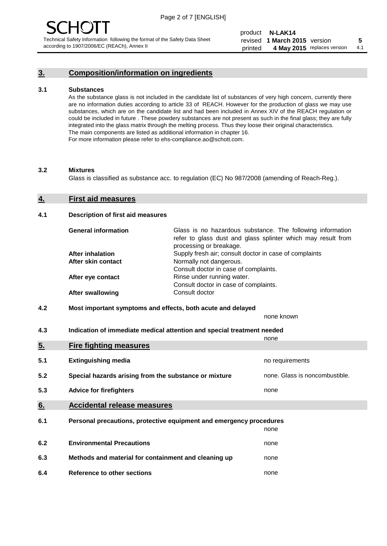## **3. Composition/information on ingredients**

#### **3.1 Substances**

As the substance glass is not included in the candidate list of substances of very high concern, currently there are no information duties according to article 33 of REACH. However for the production of glass we may use substances, which are on the candidate list and had been included in Annex XIV of the REACH regulation or could be included in future . These powdery substances are not present as such in the final glass; they are fully integrated into the glass matrix through the melting process. Thus they loose their original characteristics. The main components are listed as additional information in chapter 16. For more information please refer to ehs-compliance.ao@schott.com.

#### **3.2 Mixtures**

Glass is classified as substance acc. to regulation (EC) No 987/2008 (amending of Reach-Reg.).

#### **4. First aid measures**

#### **4.1 Description of first aid measures**

| <b>General information</b> | Glass is no hazardous substance. The following information<br>refer to glass dust and glass splinter which may result from<br>processing or breakage. |
|----------------------------|-------------------------------------------------------------------------------------------------------------------------------------------------------|
| After inhalation           | Supply fresh air; consult doctor in case of complaints                                                                                                |
| After skin contact         | Normally not dangerous.                                                                                                                               |
|                            | Consult doctor in case of complaints.                                                                                                                 |
| After eye contact          | Rinse under running water.                                                                                                                            |
|                            | Consult doctor in case of complaints.                                                                                                                 |
| <b>After swallowing</b>    | Consult doctor                                                                                                                                        |

#### **4.2 Most important symptoms and effects, both acute and delayed**

none known

**4.3 Indication of immediate medical attention and special treatment needed** 

|     |                                                                     | none                           |
|-----|---------------------------------------------------------------------|--------------------------------|
| 5.  | <b>Fire fighting measures</b>                                       |                                |
| 5.1 | <b>Extinguishing media</b>                                          | no requirements                |
| 5.2 | Special hazards arising from the substance or mixture               | none. Glass is noncombustible. |
| 5.3 | <b>Advice for firefighters</b>                                      | none                           |
| 6.  | <b>Accidental release measures</b>                                  |                                |
| 6.1 | Personal precautions, protective equipment and emergency procedures |                                |
|     |                                                                     | none                           |
| 6.2 | <b>Environmental Precautions</b>                                    | none                           |
| 6.3 | Methods and material for containment and cleaning up                | none                           |
| 6.4 | Reference to other sections                                         | none                           |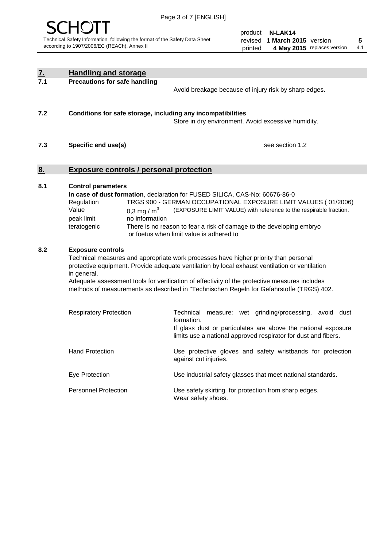

product **N-LAK14** revised **5 1 March 2015** version printed 4 May 2015 replaces version 4.1

| <u>7.</u><br>7.1 | <b>Handling and storage</b>                                                                                      |                                                                                                                                                                                                                                                                                                                                                                                     |
|------------------|------------------------------------------------------------------------------------------------------------------|-------------------------------------------------------------------------------------------------------------------------------------------------------------------------------------------------------------------------------------------------------------------------------------------------------------------------------------------------------------------------------------|
|                  | <b>Precautions for safe handling</b>                                                                             | Avoid breakage because of injury risk by sharp edges.                                                                                                                                                                                                                                                                                                                               |
| 7.2              | Conditions for safe storage, including any incompatibilities                                                     | Store in dry environment. Avoid excessive humidity.                                                                                                                                                                                                                                                                                                                                 |
| 7.3              | Specific end use(s)                                                                                              | see section 1.2                                                                                                                                                                                                                                                                                                                                                                     |
| <u>8.</u>        | <b>Exposure controls / personal protection</b>                                                                   |                                                                                                                                                                                                                                                                                                                                                                                     |
| 8.1              | <b>Control parameters</b><br>Regulation<br>Value<br>0,3 mg / $m3$<br>peak limit<br>no information<br>teratogenic | In case of dust formation, declaration for FUSED SILICA, CAS-No: 60676-86-0<br>TRGS 900 - GERMAN OCCUPATIONAL EXPOSURE LIMIT VALUES (01/2006)<br>(EXPOSURE LIMIT VALUE) with reference to the respirable fraction.<br>There is no reason to fear a risk of damage to the developing embryo<br>or foetus when limit value is adhered to                                              |
| 8.2              | <b>Exposure controls</b><br>in general.                                                                          | Technical measures and appropriate work processes have higher priority than personal<br>protective equipment. Provide adequate ventilation by local exhaust ventilation or ventilation<br>Adequate assessment tools for verification of effectivity of the protective measures includes<br>methods of measurements as described in "Technischen Regeln for Gefahrstoffe (TRGS) 402. |
|                  | <b>Respiratory Protection</b>                                                                                    | Technical measure: wet grinding/processing, avoid dust<br>formation.<br>If glass dust or particulates are above the national exposure<br>limits use a national approved respirator for dust and fibers.                                                                                                                                                                             |
|                  | <b>Hand Protection</b>                                                                                           | Use protective gloves and safety wristbands for protection<br>against cut injuries.                                                                                                                                                                                                                                                                                                 |
|                  | Eye Protection                                                                                                   | Use industrial safety glasses that meet national standards.                                                                                                                                                                                                                                                                                                                         |
|                  | <b>Personnel Protection</b>                                                                                      | Use safety skirting for protection from sharp edges.<br>Wear safety shoes.                                                                                                                                                                                                                                                                                                          |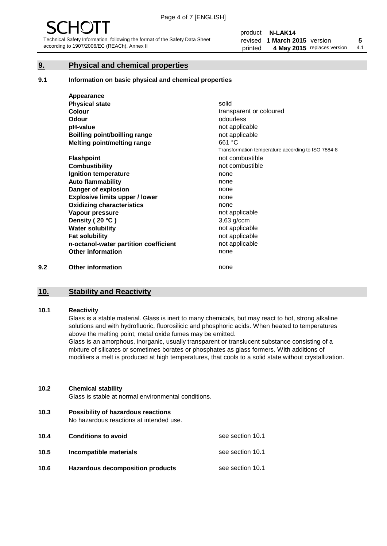#### **9. Physical and chemical properties**

#### **9.1 Information on basic physical and chemical properties**

|     | Appearance                            |                                                    |
|-----|---------------------------------------|----------------------------------------------------|
|     | <b>Physical state</b>                 | solid                                              |
|     | <b>Colour</b>                         | transparent or coloured                            |
|     | Odour                                 | odourless                                          |
|     | pH-value                              | not applicable                                     |
|     | Boilling point/boilling range         | not applicable                                     |
|     | Melting point/melting range           | 661 °C                                             |
|     |                                       | Transformation temperature according to ISO 7884-8 |
|     | <b>Flashpoint</b>                     | not combustible                                    |
|     | <b>Combustibility</b>                 | not combustible                                    |
|     | Ignition temperature                  | none                                               |
|     | <b>Auto flammability</b>              | none                                               |
|     | Danger of explosion                   | none                                               |
|     | <b>Explosive limits upper / lower</b> | none                                               |
|     | <b>Oxidizing characteristics</b>      | none                                               |
|     | Vapour pressure                       | not applicable                                     |
|     | Density (20 °C)                       | 3,63 g/ccm                                         |
|     | <b>Water solubility</b>               | not applicable                                     |
|     | <b>Fat solubility</b>                 | not applicable                                     |
|     | n-octanol-water partition coefficient | not applicable                                     |
|     | <b>Other information</b>              | none                                               |
| 9.2 | <b>Other information</b>              | none                                               |

#### **10. Stability and Reactivity**

#### **10.1 Reactivity**

Glass is a stable material. Glass is inert to many chemicals, but may react to hot, strong alkaline solutions and with hydrofluoric, fluorosilicic and phosphoric acids. When heated to temperatures above the melting point, metal oxide fumes may be emitted.

Glass is an amorphous, inorganic, usually transparent or translucent substance consisting of a mixture of silicates or sometimes borates or phosphates as glass formers. With additions of modifiers a melt is produced at high temperatures, that cools to a solid state without crystallization.

#### **10.2 Chemical stability**

Glass is stable at normal environmental conditions.

**10.3 Possibility of hazardous reactions** 

No hazardous reactions at intended use.

| 10.4 | <b>Conditions to avoid</b>              | see section 10.1 |
|------|-----------------------------------------|------------------|
| 10.5 | Incompatible materials                  | see section 10.1 |
| 10.6 | <b>Hazardous decomposition products</b> | see section 10.1 |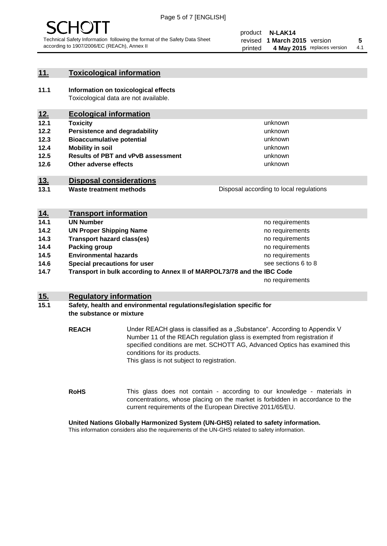

#### **11. Toxicological information**

**11.1 Information on toxicological effects** Toxicological data are not available.

## **12. Ecological information**

- **12.1 Toxicity**
- **12.2 Persistence and degradability**
- **12.3 Bioaccumulative potential**
- **12.4 Mobility in soil**
- **12.5 Results of PBT and vPvB assessment**
- **12.6 Other adverse effects**

#### **13. Disposal considerations**

**13.1 Waste treatment methods**

| Disposal according to local regulations |
|-----------------------------------------|
|                                         |

unknown unknown unknown unknown

unknown unknown

| <u>14.</u> | <b>Transport information</b>                                            |                     |
|------------|-------------------------------------------------------------------------|---------------------|
| 14.1       | <b>UN Number</b>                                                        | no requirements     |
| 14.2       | <b>UN Proper Shipping Name</b>                                          | no requirements     |
| 14.3       | <b>Transport hazard class(es)</b>                                       | no requirements     |
| 14.4       | Packing group                                                           | no requirements     |
| 14.5       | <b>Environmental hazards</b>                                            | no requirements     |
| 14.6       | Special precautions for user                                            | see sections 6 to 8 |
| 14.7       | Transport in bulk according to Annex II of MARPOL73/78 and the IBC Code |                     |
|            |                                                                         | no requirements     |

#### **15. Regulatory information**

#### **15.1 Safety, health and environmental regulations/legislation specific for the substance or mixture**

**REACH** Under REACH glass is classified as a "Substance". According to Appendix V Number 11 of the REACh regulation glass is exempted from registration if specified conditions are met. SCHOTT AG, Advanced Optics has examined this conditions for its products. This glass is not subject to registration.

**RoHS** This glass does not contain - according to our knowledge - materials in concentrations, whose placing on the market is forbidden in accordance to the current requirements of the European Directive 2011/65/EU.

#### **United Nations Globally Harmonized System (UN-GHS) related to safety information.**

This information considers also the requirements of the UN-GHS related to safety information.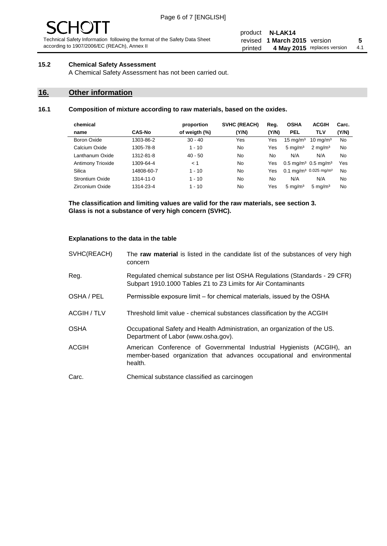# - JF

Technical Safety Information following the format of the Safety Data Sheet according to 1907/2006/EC (REACh), Annex II

#### product **N-LAK14** revised **5 1 March 2015** version printed 4 May 2015 replaces version 4.1

#### **15.2 Chemical Safety Assessment**

A Chemical Safety Assessment has not been carried out.

## **16. Other information**

#### **16.1 Composition of mixture according to raw materials, based on the oxides.**

|               | proportion    | <b>SVHC (REACH)</b> | Reg.  | <b>OSHA</b>         | <b>ACGIH</b>        | Carc.                                                                                          |
|---------------|---------------|---------------------|-------|---------------------|---------------------|------------------------------------------------------------------------------------------------|
| <b>CAS-No</b> | of weigth (%) | (Y/N)               | (Y/N) | <b>PEL</b>          | <b>TLV</b>          | (Y/N)                                                                                          |
| 1303-86-2     | $30 - 40$     | Yes                 | Yes   | $15 \text{ mg/m}^3$ | $10 \text{ mg/m}^3$ | No                                                                                             |
| 1305-78-8     | $1 - 10$      | No.                 | Yes   | $5 \text{ mg/m}^3$  | $2 \text{ mg/m}^3$  | No                                                                                             |
| 1312-81-8     | $40 - 50$     | No                  | No    | N/A                 | N/A                 | No                                                                                             |
| 1309-64-4     | < 1           | No                  | Yes   |                     |                     | Yes                                                                                            |
| 14808-60-7    | $1 - 10$      | No                  | Yes   |                     |                     | No                                                                                             |
| 1314-11-0     | $1 - 10$      | No                  | No    | N/A                 | N/A                 | No                                                                                             |
| 1314-23-4     | $1 - 10$      | No                  | Yes   | $5 \text{ mg/m}^3$  | $5 \text{ mg/m}^3$  | No                                                                                             |
|               |               |                     |       |                     |                     | $0.5 \,\mathrm{mq/m^3}$ 0.5 mg/m <sup>3</sup><br>0.1 mg/m <sup>3</sup> 0.025 mg/m <sup>3</sup> |

**The classification and limiting values are valid for the raw materials, see section 3. Glass is not a substance of very high concern (SVHC).**

#### **Explanations to the data in the table**

| SVHC(REACH)        | The raw material is listed in the candidate list of the substances of very high<br>concern                                                                 |
|--------------------|------------------------------------------------------------------------------------------------------------------------------------------------------------|
| Reg.               | Regulated chemical substance per list OSHA Regulations (Standards - 29 CFR)<br>Subpart 1910.1000 Tables Z1 to Z3 Limits for Air Contaminants               |
| OSHA / PEL         | Permissible exposure limit – for chemical materials, issued by the OSHA                                                                                    |
| <b>ACGIH / TLV</b> | Threshold limit value - chemical substances classification by the ACGIH                                                                                    |
| <b>OSHA</b>        | Occupational Safety and Health Administration, an organization of the US.<br>Department of Labor (www.osha.gov).                                           |
| <b>ACGIH</b>       | American Conference of Governmental Industrial Hygienists (ACGIH), an<br>member-based organization that advances occupational and environmental<br>health. |
| Carc.              | Chemical substance classified as carcinogen                                                                                                                |